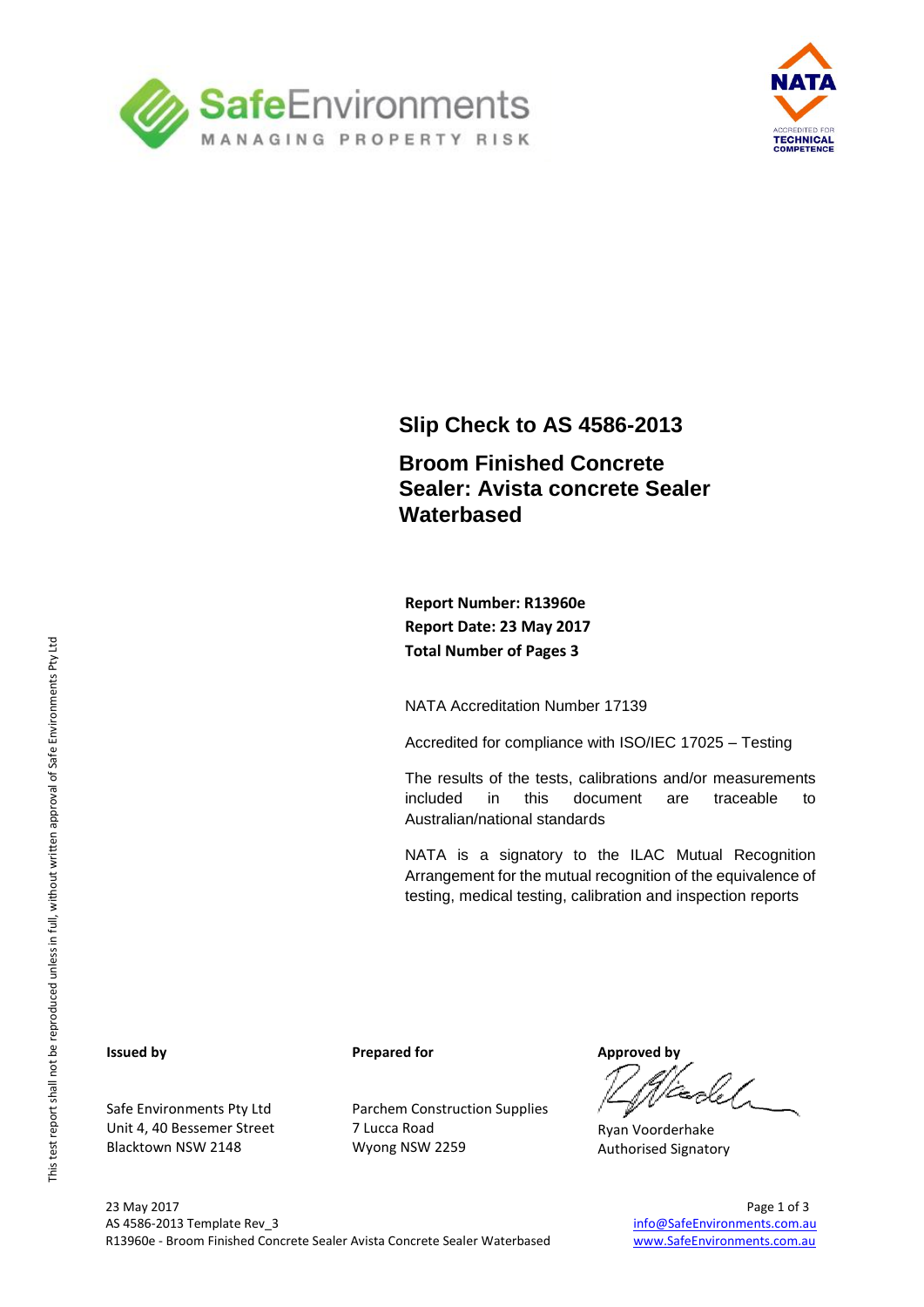



### **Slip Check to AS 4586-2013**

### **Broom Finished Concrete Sealer: Avista concrete Sealer Waterbased**

**Report Number: R13960e Report Date: 23 May 2017 Total Number of Pages 3**

NATA Accreditation Number 17139

Accredited for compliance with ISO/IEC 17025 – Testing

The results of the tests, calibrations and/or measurements included in this document are traceable to Australian/national standards

NATA is a signatory to the ILAC Mutual Recognition Arrangement for the mutual recognition of the equivalence of testing, medical testing, calibration and inspection reports

#### **Issued by**

Safe Environments Pty Ltd Unit 4, 40 Bessemer Street Blacktown NSW 2148

**Prepared for**

Parchem Construction Supplies 7 Lucca Road Wyong NSW 2259

**Approved by**

Ryan Voorderhake Authorised Signatory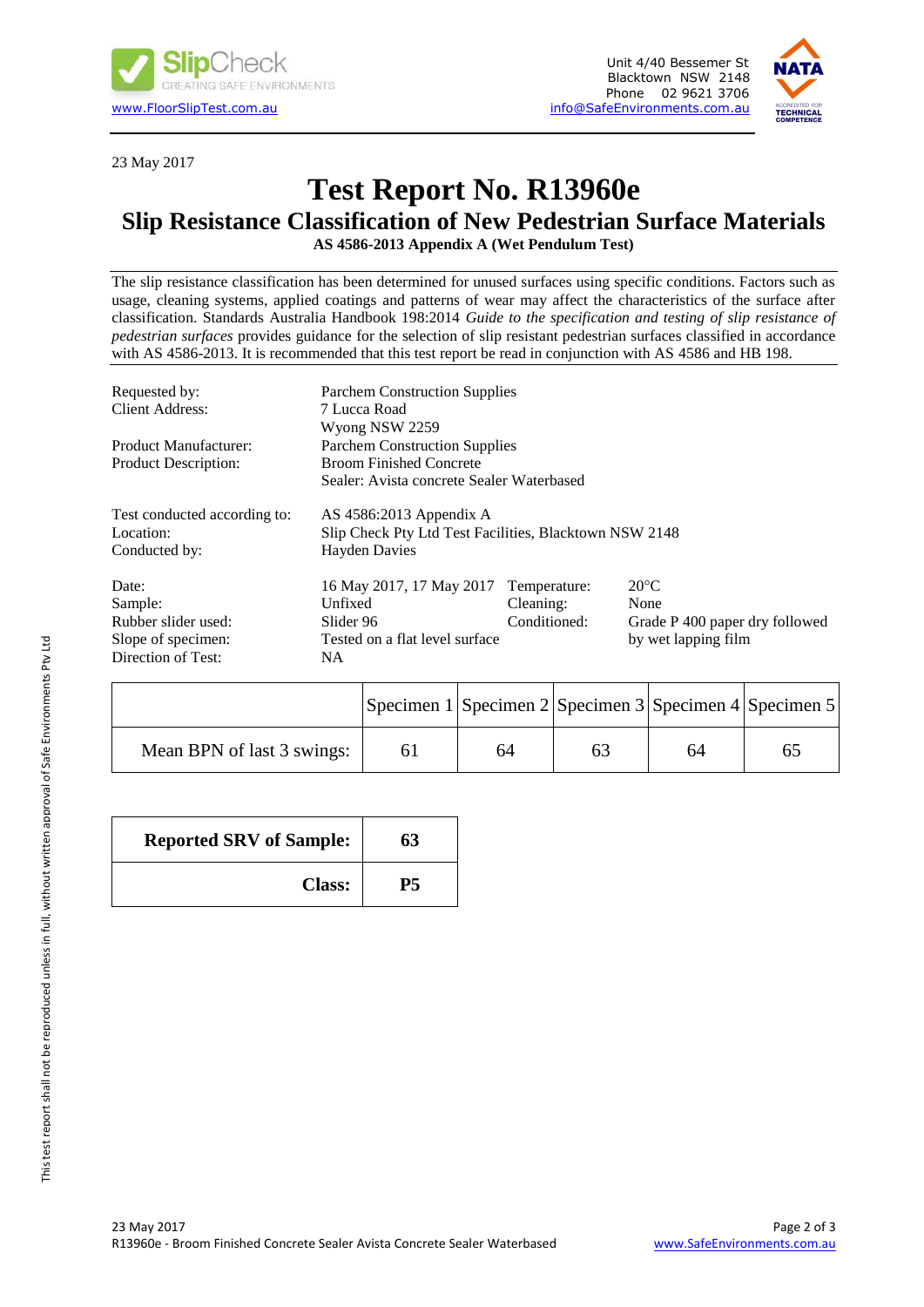



23 May 2017

# **Test Report No. R13960e**

## **Slip Resistance Classification of New Pedestrian Surface Materials**

**AS 4586-2013 Appendix A (Wet Pendulum Test)**

The slip resistance classification has been determined for unused surfaces using specific conditions. Factors such as usage, cleaning systems, applied coatings and patterns of wear may affect the characteristics of the surface after classification. Standards Australia Handbook 198:2014 *Guide to the specification and testing of slip resistance of pedestrian surfaces* provides guidance for the selection of slip resistant pedestrian surfaces classified in accordance with AS 4586-2013. It is recommended that this test report be read in conjunction with AS 4586 and HB 198.

| Requested by:                | <b>Parchem Construction Supplies</b>                   |              |                                |  |  |
|------------------------------|--------------------------------------------------------|--------------|--------------------------------|--|--|
| Client Address:              | 7 Lucca Road                                           |              |                                |  |  |
|                              | Wyong NSW 2259                                         |              |                                |  |  |
| Product Manufacturer:        | <b>Parchem Construction Supplies</b>                   |              |                                |  |  |
| <b>Product Description:</b>  | <b>Broom Finished Concrete</b>                         |              |                                |  |  |
|                              | Sealer: Avista concrete Sealer Waterbased              |              |                                |  |  |
| Test conducted according to: | AS $4586:2013$ Appendix A                              |              |                                |  |  |
| Location:                    | Slip Check Pty Ltd Test Facilities, Blacktown NSW 2148 |              |                                |  |  |
| Conducted by:                | <b>Hayden Davies</b>                                   |              |                                |  |  |
| Date:                        | 16 May 2017, 17 May 2017                               | Temperature: | $20^{\circ}$ C                 |  |  |
| Sample:                      | Unfixed                                                | Cleaning:    | None                           |  |  |
| Rubber slider used:          | Slider 96                                              | Conditioned: | Grade P 400 paper dry followed |  |  |
| Slope of specimen:           | Tested on a flat level surface                         |              | by wet lapping film            |  |  |
| Direction of Test:           | NA.                                                    |              |                                |  |  |

|                            | Specimen 1 Specimen 2 Specimen 3 Specimen 4 Specimen 5 |    |    |    |    |
|----------------------------|--------------------------------------------------------|----|----|----|----|
| Mean BPN of last 3 swings: |                                                        | 64 | 63 | 64 | 65 |

| <b>Reported SRV of Sample:</b> | 63 |
|--------------------------------|----|
| <b>Class:</b>                  | Р5 |

This test report shall not be reproduced unless in full, without written approval of Safe Environments Pty Ltd

This test report shall not be reproduced unless in full, without written approval of Safe Environments Pty Ltd